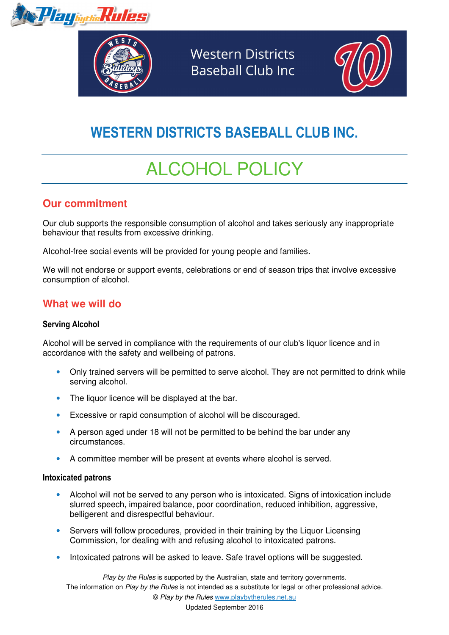*Terp<sub>bythe</sub>Rules* 



**Western Districts Baseball Club Inc.** 



# WESTERN DISTRICTS BASEBALL CLUB INC.

# ALCOHOL POLICY

## **Our commitment**

Our club supports the responsible consumption of alcohol and takes seriously any inappropriate behaviour that results from excessive drinking.

AIcohol-free social events will be provided for young people and families.

We will not endorse or support events, celebrations or end of season trips that involve excessive consumption of alcohol.

## **What we will do**

#### Serving Alcohol

Alcohol will be served in compliance with the requirements of our club's liquor licence and in accordance with the safety and wellbeing of patrons.

- Only trained servers will be permitted to serve alcohol. They are not permitted to drink while serving alcohol.
- The liquor licence will be displayed at the bar.
- Excessive or rapid consumption of alcohol will be discouraged.
- A person aged under 18 will not be permitted to be behind the bar under any circumstances.
- A committee member will be present at events where alcohol is served.

#### Intoxicated patrons

- Alcohol will not be served to any person who is intoxicated. Signs of intoxication include slurred speech, impaired balance, poor coordination, reduced inhibition, aggressive, belligerent and disrespectful behaviour.
- Servers will follow procedures, provided in their training by the Liquor Licensing Commission, for dealing with and refusing alcohol to intoxicated patrons.
- Intoxicated patrons will be asked to leave. Safe travel options will be suggested.

Play by the Rules is supported by the Australian, state and territory governments. The information on Play by the Rules is not intended as a substitute for legal or other professional advice. © Play by the Rules www.playbytherules.net.au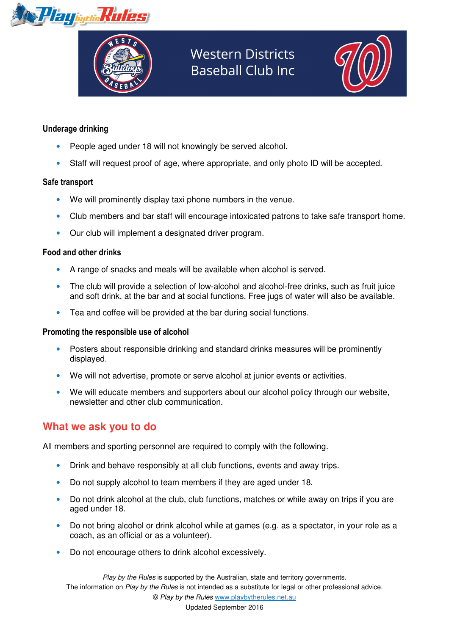



# **Western Districts Baseball Club Inc**



#### Underage drinking

- People aged under 18 will not knowingly be served alcohol.
- Staff will request proof of age, where appropriate, and only photo ID will be accepted.

#### Safe transport

- We will prominently display taxi phone numbers in the venue.
- Club members and bar staff will encourage intoxicated patrons to take safe transport home.
- Our club will implement a designated driver program.

#### Food and other drinks

- A range of snacks and meals will be available when alcohol is served.
- The club will provide a selection of low-alcohol and alcohol-free drinks, such as fruit juice and soft drink, at the bar and at social functions. Free jugs of water will also be available.
- Tea and coffee will be provided at the bar during social functions.

#### Promoting the responsible use of alcohol

- Posters about responsible drinking and standard drinks measures will be prominently displayed.
- We will not advertise, promote or serve alcohol at junior events or activities.
- We will educate members and supporters about our alcohol policy through our website, newsletter and other club communication.

## **What we ask you to do**

All members and sporting personnel are required to comply with the following.

- Drink and behave responsibly at all club functions, events and away trips.
- Do not supply alcohol to team members if they are aged under 18.
- Do not drink alcohol at the club, club functions, matches or while away on trips if you are aged under 18.
- Do not bring alcohol or drink alcohol while at games (e.g. as a spectator, in your role as a coach, as an official or as a volunteer).
- Do not encourage others to drink alcohol excessively.

Play by the Rules is supported by the Australian, state and territory governments. The information on Play by the Rules is not intended as a substitute for legal or other professional advice. © Play by the Rules www.playbytherules.net.au